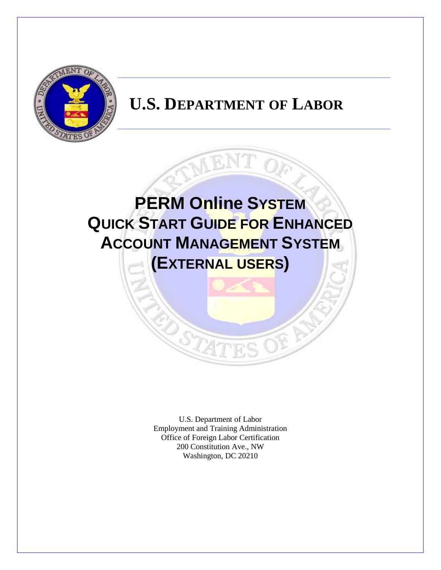

# **U.S. DEPARTMENT OF LABOR**



U.S. Department of Labor Employment and Training Administration Office of Foreign Labor Certification 200 Constitution Ave., NW Washington, DC 20210

 $\widehat{\mathcal{H}}$ 

STA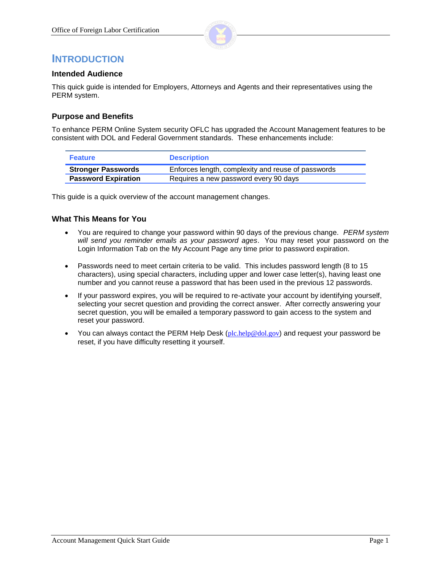

### **INTRODUCTION**

#### **Intended Audience**

This quick guide is intended for Employers, Attorneys and Agents and their representatives using the PERM system.

### **Purpose and Benefits**

To enhance PERM Online System security OFLC has upgraded the Account Management features to be consistent with DOL and Federal Government standards. These enhancements include:

| <b>Feature</b>             | <b>Description</b>                                 |
|----------------------------|----------------------------------------------------|
| <b>Stronger Passwords</b>  | Enforces length, complexity and reuse of passwords |
| <b>Password Expiration</b> | Requires a new password every 90 days              |

This guide is a quick overview of the account management changes.

#### **What This Means for You**

- You are required to change your password within 90 days of the previous change. *PERM system will send you reminder emails as your password ages*. You may reset your password on the Login Information Tab on the My Account Page any time prior to password expiration.
- Passwords need to meet certain criteria to be valid. This includes password length (8 to 15 characters), using special characters, including upper and lower case letter(s), having least one number and you cannot reuse a password that has been used in the previous 12 passwords.
- If your password expires, you will be required to re-activate your account by identifying yourself, selecting your secret question and providing the correct answer. After correctly answering your secret question, you will be emailed a temporary password to gain access to the system and reset your password.
- You can always contact the PERM Help Desk ( $plc.help@dol.gov$ ) and request your password be reset, if you have difficulty resetting it yourself.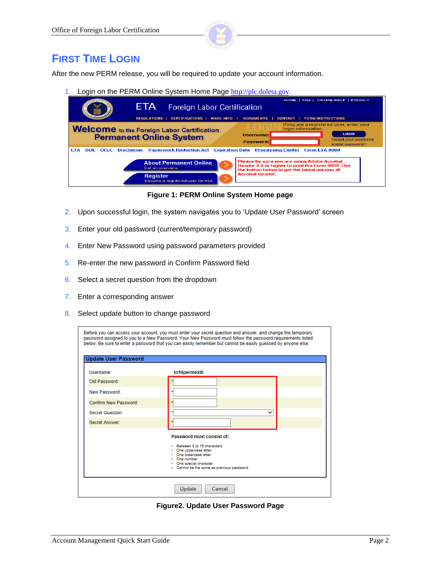

### **FIRST TIME LOGIN**

After the new PERM release, you will be required to update your account information.

1. Login on the PERM Online System Home Page [http://plc.doleta.gov](http://plc.doleta.gov/).

| <b>MENTIN</b>                                                                                       | HOME   FAQ   ONLINE HELP   PRIVACY                                                                                                                                        |
|-----------------------------------------------------------------------------------------------------|---------------------------------------------------------------------------------------------------------------------------------------------------------------------------|
| ETA<br>Foreign Labor Certification                                                                  |                                                                                                                                                                           |
| <b>REGULATIONS</b><br><b>CERTIFICATIONS</b><br><b>WAGE INFO</b>                                     | <b>DOCUMENTS</b><br><b>FORM INSTRUCTIONS</b><br>CONTACT                                                                                                                   |
| <b>Welcome</b> to the Foreign Labor Certification<br><b>Permanent Online System</b>                 | If you are a registered user, enter your<br>login information.<br><b>LOGIN</b><br><b>Username:</b><br>Forgot your username<br>Password:<br>and/or password?               |
| <b>Paperwork Reduction Act</b><br><b>ETA</b><br><b>Disclaimer</b><br>DOL<br><b>OFLC</b>             | <b>Expiration Date</b><br><b>Processing Center</b><br>Form ETA 9089                                                                                                       |
| <b>About Permanent Online</b><br>Get an overview.<br>Register<br>Become a registered user for free. | Please be sure you are using Adobe Acrobat<br>Reader 8.0 or higher to print the Form 9089. Use<br>the button below to get the latest version of<br><b>Acrobat Reader.</b> |

**Figure 1: PERM Online System Home page**

- 2. Upon successful login, the system navigates you to 'Update User Password' screen
- 3. Enter your old password (current/temporary password)
- 4. Enter New Password using password parameters provided
- 5. Re-enter the new password in Confirm Password field
- 6. Select a secret question from the dropdown
- 7. Enter a corresponding answer
- 8. Select update button to change password

|                             | Before you can access your account, you must enter your secret question and answer, and change the temporary<br>password assigned to you to a New Password. Your New Password must follow the password requirements listed<br>below. Be sure to enter a password that you can easily remember but cannot be easily quessed by anyone else. |
|-----------------------------|--------------------------------------------------------------------------------------------------------------------------------------------------------------------------------------------------------------------------------------------------------------------------------------------------------------------------------------------|
| <b>Update User Password</b> |                                                                                                                                                                                                                                                                                                                                            |
| Username:                   | to16permext6                                                                                                                                                                                                                                                                                                                               |
| Old Password:               |                                                                                                                                                                                                                                                                                                                                            |
| New Password:               |                                                                                                                                                                                                                                                                                                                                            |
| Confirm New Password:       |                                                                                                                                                                                                                                                                                                                                            |
| <b>Secret Question:</b>     | $\checkmark$                                                                                                                                                                                                                                                                                                                               |
| Secret Answer:              |                                                                                                                                                                                                                                                                                                                                            |
|                             | Password must consist of:<br>- Between 8 to 15 characters<br>One uppercase letter<br>One lowercase letter<br>One number<br>· One special character<br>· Cannot be the same as previous password                                                                                                                                            |
|                             | Update<br>Cancel                                                                                                                                                                                                                                                                                                                           |

**Figure2. Update User Password Page**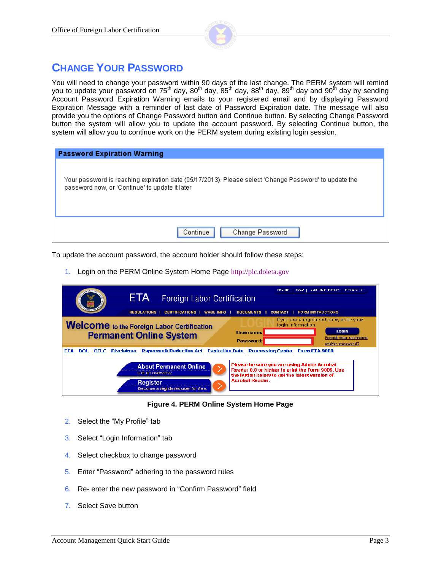

## **CHANGE YOUR PASSWORD**

You will need to change your password within 90 days of the last change. The PERM system will remind you to update your password on 75<sup>th</sup> day, 80<sup>th</sup> day, 85<sup>th</sup> day, 88<sup>th</sup> day, 89<sup>th</sup> day and 90<sup>th</sup> day by sending Account Password Expiration Warning emails to your registered email and by displaying Password Expiration Message with a reminder of last date of Password Expiration date. The message will also provide you the options of Change Password button and Continue button. By selecting Change Password button the system will allow you to update the account password. By selecting Continue button, the system will allow you to continue work on the PERM system during existing login session.

| <b>Password Expiration Warning</b>                                                                                                                      |
|---------------------------------------------------------------------------------------------------------------------------------------------------------|
| Your password is reaching expiration date (05/17/2013). Please select 'Change Password' to update the<br>password now, or 'Continue' to update it later |
| Continue<br>Change Password                                                                                                                             |

To update the account password, the account holder should follow these steps:

1. Login on the PERM Online System Home Page [http://plc.doleta.gov](http://plc.doleta.gov/)

| <b>ETA</b><br><b>Foreign Labor Certification</b><br><b>CERTIFICATIONS  </b><br><b>REGULATIONS</b><br><b>WAGE INFO</b>                                                                                                    | HOME   FAQ   ONLINE HELP   PRIVACY<br><b>DOCUMENTS</b><br><b>FORM INSTRUCTIONS</b><br><b>CONTACT</b>                                                                                                                   |
|--------------------------------------------------------------------------------------------------------------------------------------------------------------------------------------------------------------------------|------------------------------------------------------------------------------------------------------------------------------------------------------------------------------------------------------------------------|
| <b>Welcome</b> to the Foreign Labor Certification<br><b>Permanent Online System</b>                                                                                                                                      | If you are a registered user, enter your<br>login information.<br><b>LOGIN</b><br><b>Username:</b><br>Forgot your username<br>Password:<br>and/or password?                                                            |
| <b>Paperwork Reduction Act</b><br><b>Expiration Date</b><br>ETA<br><b>DOL</b><br><b>OFLC</b><br><b>Disclaimer</b><br><b>About Permanent Online</b><br>Get an overview.<br>Register<br>Become a registered user for free. | <b>Processing Center</b><br>Form ETA 9089<br>Please be sure you are using Adobe Acrobat<br>Reader 8.0 or higher to print the Form 9089, Use<br>the button below to get the latest version of<br><b>Acrobat Reader.</b> |

#### **Figure 4. PERM Online System Home Page**

- 2. Select the "My Profile" tab
- 3. Select "Login Information" tab
- 4. Select checkbox to change password
- 5. Enter "Password" adhering to the password rules
- 6. Re- enter the new password in "Confirm Password" field
- 7. Select Save button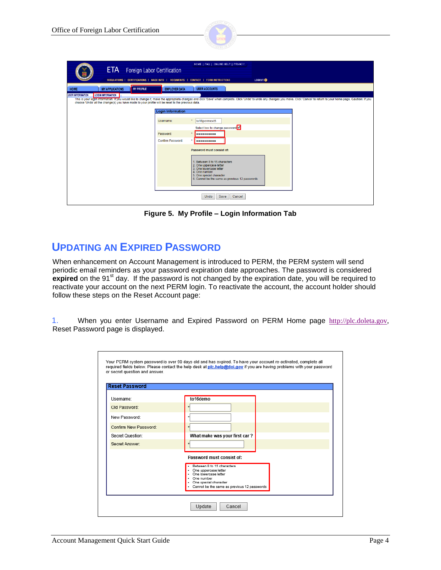

| ETA <b>D</b><br>Foreign Labor Certification                                                       |                          | HOME   FAQ   ONLINE HELP   PRIVACY                                                                                                                                                 |                                                                                                                                                                                                                                |
|---------------------------------------------------------------------------------------------------|--------------------------|------------------------------------------------------------------------------------------------------------------------------------------------------------------------------------|--------------------------------------------------------------------------------------------------------------------------------------------------------------------------------------------------------------------------------|
| REGULATIONS   CERTIFICATIONS   WAGE INFO   DOCUMENTS   CONTACT   FORM INSTRUCTIONS                |                          |                                                                                                                                                                                    | LOGOUT <sup>O</sup>                                                                                                                                                                                                            |
| <b>MY PROFILE</b><br><b>MY APPLICATIONS</b><br><b>HOME</b>                                        | <b>EMPLOYER DATA</b>     | <b>USER ACCOUNTS</b>                                                                                                                                                               |                                                                                                                                                                                                                                |
| <b>LOGIN INFORMATION</b><br><b>USER INFORMATION</b>                                               |                          |                                                                                                                                                                                    |                                                                                                                                                                                                                                |
| choose 'Undo' all the change(s) you have made to your profile will be reset to the previous data. |                          |                                                                                                                                                                                    | This is your login information. If you would like to change it, make the appropriate changes and click 'Save' when complete. Click 'Undo' to undo any changes you make. Click 'Cancel' to return to your home page. Caution: I |
|                                                                                                   |                          |                                                                                                                                                                                    |                                                                                                                                                                                                                                |
|                                                                                                   | <b>Login Information</b> |                                                                                                                                                                                    |                                                                                                                                                                                                                                |
|                                                                                                   | Username:                | $\star$                                                                                                                                                                            |                                                                                                                                                                                                                                |
|                                                                                                   |                          | to16permext5                                                                                                                                                                       |                                                                                                                                                                                                                                |
|                                                                                                   |                          | Select box to change password                                                                                                                                                      |                                                                                                                                                                                                                                |
|                                                                                                   | Password:                | $\star$<br>                                                                                                                                                                        |                                                                                                                                                                                                                                |
|                                                                                                   | Confirm Password:        | $\star$<br>                                                                                                                                                                        |                                                                                                                                                                                                                                |
|                                                                                                   |                          | Password must consist of:                                                                                                                                                          |                                                                                                                                                                                                                                |
|                                                                                                   |                          | 1. Between 8 to 15 characters<br>2. One uppercase letter<br>3. One lowercase letter<br>4. One number<br>5. One special character<br>6. Cannot be the same as previous 12 passwords |                                                                                                                                                                                                                                |
|                                                                                                   |                          | <b>Undo</b><br>Save<br>Cancel                                                                                                                                                      |                                                                                                                                                                                                                                |

**Figure 5. My Profile – Login Information Tab**

### **UPDATING AN EXPIRED PASSWORD**

When enhancement on Account Management is introduced to PERM, the PERM system will send periodic email reminders as your password expiration date approaches. The password is considered expired on the 91<sup>st</sup> day. If the password is not changed by the expiration date, you will be required to reactivate your account on the next PERM login. To reactivate the account, the account holder should follow these steps on the Reset Account page:

1. When you enter Username and Expired Password on PERM Home page [http://plc.doleta.gov,](http://plc.doleta.gov/) Reset Password page is displayed.

| <b>Reset Password</b> |                                                                                                                                                                          |
|-----------------------|--------------------------------------------------------------------------------------------------------------------------------------------------------------------------|
| Username:             | to16demo                                                                                                                                                                 |
| Old Password:         |                                                                                                                                                                          |
| New Password:         |                                                                                                                                                                          |
| Confirm New Password: |                                                                                                                                                                          |
| Secret Question:      | What make was your first car?                                                                                                                                            |
| Secret Answer:        |                                                                                                                                                                          |
|                       | Password must consist of:                                                                                                                                                |
|                       | Between 8 to 15 characters<br>- One uppercase letter<br>. One lowercase letter<br>- One number<br>· One special character<br>Cannot be the same as previous 12 passwords |